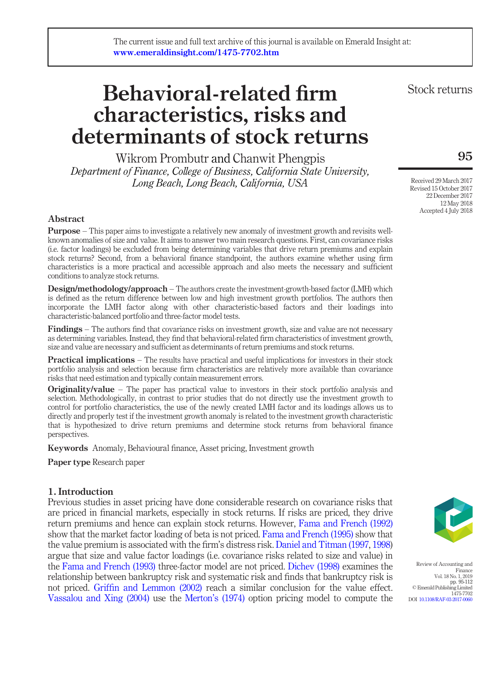# Behavioral-related firm characteristics, risks and determinants of stock returns

Wikrom Prombutr and Chanwit Phengpis Department of Finance, College of Business, California State University, Long Beach, Long Beach, California, USA

#### Abstract

Purpose – This paper aims to investigate a relatively new anomaly of investment growth and revisits wellknown anomalies of size and value. It aims to answer two main research questions. First, can covariance risks (i.e. factor loadings) be excluded from being determining variables that drive return premiums and explain stock returns? Second, from a behavioral finance standpoint, the authors examine whether using firm characteristics is a more practical and accessible approach and also meets the necessary and sufficient conditions to analyze stock returns.

**Design/methodology/approach** – The authors create the investment-growth-based factor (LMH) which is defined as the return difference between low and high investment growth portfolios. The authors then incorporate the LMH factor along with other characteristic-based factors and their loadings into characteristic-balanced portfolio and three-factor model tests.

Findings – The authors find that covariance risks on investment growth, size and value are not necessary as determining variables. Instead, they find that behavioral-related firm characteristics of investment growth, size and value are necessary and sufficient as determinants of return premiums and stock returns.

Practical implications – The results have practical and useful implications for investors in their stock portfolio analysis and selection because firm characteristics are relatively more available than covariance risks that need estimation and typically contain measurement errors.

**Originality/value** – The paper has practical value to investors in their stock portfolio analysis and selection. Methodologically, in contrast to prior studies that do not directly use the investment growth to control for portfolio characteristics, the use of the newly created LMH factor and its loadings allows us to directly and properly test if the investment growth anomaly is related to the investment growth characteristic that is hypothesized to drive return premiums and determine stock returns from behavioral finance perspectives.

Keywords Anomaly, Behavioural finance, Asset pricing, Investment growth

Paper type Research paper

## 1. Introduction

Previous studies in asset pricing have done considerable research on covariance risks that are priced in financial markets, especially in stock returns. If risks are priced, they drive return premiums and hence can explain stock returns. However, [Fama and French \(1992\)](#page-16-0) show that the market factor loading of beta is not priced. [Fama and French \(1995\)](#page-16-1) show that the value premium is associated with the firm's distress risk. [Daniel and Titman \(1997](#page-16-2), [1998\)](#page-16-3) argue that size and value factor loadings (i.e. covariance risks related to size and value) in the [Fama and French \(1993\)](#page-16-4) three-factor model are not priced. [Dichev \(1998\)](#page-16-5) examines the relationship between bankruptcy risk and systematic risk and finds that bankruptcy risk is not priced. Griffi[n and Lemmon \(2002\)](#page-16-6) reach a similar conclusion for the value effect. [Vassalou and Xing \(2004\)](#page-17-0) use the Merton'[s \(1974\)](#page-16-7) option pricing model to compute the



Review of Accounting and Finance Vol. 18 No. 1, 2019 pp. 95-112 © Emerald Publishing Limited 1475-7702 DOI [10.1108/RAF-03-2017-0060](http://dx.doi.org/10.1108/RAF-03-2017-0060)

Received 29 March 2017 Revised 15 October 2017 22 December 2017 12 May 2018 Accepted 4 July 2018

95

# Stock returns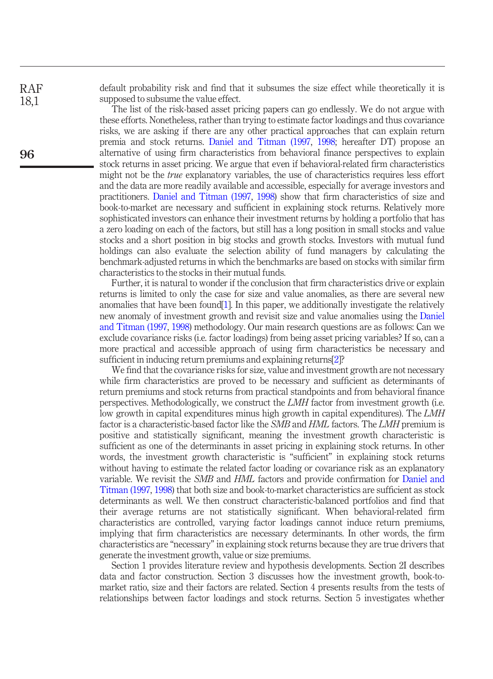default probability risk and find that it subsumes the size effect while theoretically it is supposed to subsume the value effect.

The list of the risk-based asset pricing papers can go endlessly. We do not argue with these efforts. Nonetheless, rather than trying to estimate factor loadings and thus covariance risks, we are asking if there are any other practical approaches that can explain return premia and stock returns. [Daniel and Titman \(1997](#page-16-2), [1998](#page-16-3); hereafter DT) propose an alternative of using firm characteristics from behavioral finance perspectives to explain stock returns in asset pricing. We argue that even if behavioral-related firm characteristics might not be the *true* explanatory variables, the use of characteristics requires less effort and the data are more readily available and accessible, especially for average investors and practitioners. [Daniel and Titman \(1997](#page-16-2), [1998\)](#page-16-3) show that firm characteristics of size and book-to-market are necessary and sufficient in explaining stock returns. Relatively more sophisticated investors can enhance their investment returns by holding a portfolio that has a zero loading on each of the factors, but still has a long position in small stocks and value stocks and a short position in big stocks and growth stocks. Investors with mutual fund holdings can also evaluate the selection ability of fund managers by calculating the benchmark-adjusted returns in which the benchmarks are based on stocks with similar firm characteristics to the stocks in their mutual funds.

Further, it is natural to wonder if the conclusion that firm characteristics drive or explain returns is limited to only the case for size and value anomalies, as there are several new anomalies that have been found  $[1]$  $[1]$ . In this paper, we additionally investigate the relatively new anomaly of investment growth and revisit size and value anomalies using the [Daniel](#page-16-2) [and Titman \(1997](#page-16-2), [1998\)](#page-16-3) methodology. Our main research questions are as follows: Can we exclude covariance risks (i.e. factor loadings) from being asset pricing variables? If so, can a more practical and accessible approach of using firm characteristics be necessary and sufficient in inducing return premiums and explaining returns[[2](#page-15-1)]?

We find that the covariance risks for size, value and investment growth are not necessary while firm characteristics are proved to be necessary and sufficient as determinants of return premiums and stock returns from practical standpoints and from behavioral finance perspectives. Methodologically, we construct the LMH factor from investment growth (i.e. low growth in capital expenditures minus high growth in capital expenditures). The LMH factor is a characteristic-based factor like the *SMB* and *HML* factors. The *LMH* premium is positive and statistically significant, meaning the investment growth characteristic is sufficient as one of the determinants in asset pricing in explaining stock returns. In other words, the investment growth characteristic is "sufficient" in explaining stock returns without having to estimate the related factor loading or covariance risk as an explanatory variable. We revisit the SMB and HML factors and provide confirmation for [Daniel and](#page-16-2) [Titman \(1997](#page-16-2), [1998](#page-16-3)) that both size and book-to-market characteristics are sufficient as stock determinants as well. We then construct characteristic-balanced portfolios and find that their average returns are not statistically significant. When behavioral-related firm characteristics are controlled, varying factor loadings cannot induce return premiums, implying that firm characteristics are necessary determinants. In other words, the firm characteristics are "necessary" in explaining stock returns because they are true drivers that generate the investment growth, value or size premiums.

Section 1 provides literature review and hypothesis developments. Section 2I describes data and factor construction. Section 3 discusses how the investment growth, book-tomarket ratio, size and their factors are related. Section 4 presents results from the tests of relationships between factor loadings and stock returns. Section 5 investigates whether

96

RAF 18,1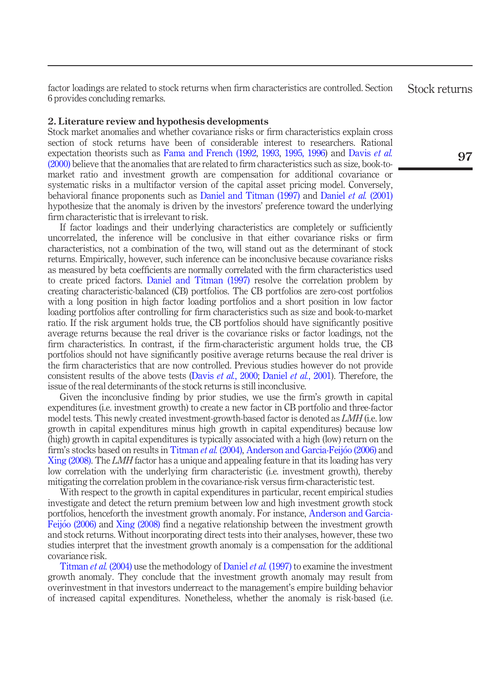factor loadings are related to stock returns when firm characteristics are controlled. Section 6 provides concluding remarks. Stock returns

#### 2. Literature review and hypothesis developments

Stock market anomalies and whether covariance risks or firm characteristics explain cross section of stock returns have been of considerable interest to researchers. Rational expectation theorists such as [Fama and French \(1992,](#page-16-0) [1993](#page-16-4), 1995, 1996) and [Davis](#page-16-8) et al. [\(2000\)](#page-16-8) believe that the anomalies that are related to firm characteristics such as size, book-tomarket ratio and investment growth are compensation for additional covariance or systematic risks in a multifactor version of the capital asset pricing model. Conversely, behavioral finance proponents such as [Daniel and Titman \(1997\)](#page-16-2) and [Daniel](#page-16-9) et al. (2001) hypothesize that the anomaly is driven by the investors' preference toward the underlying firm characteristic that is irrelevant to risk.

If factor loadings and their underlying characteristics are completely or sufficiently uncorrelated, the inference will be conclusive in that either covariance risks or firm characteristics, not a combination of the two, will stand out as the determinant of stock returns. Empirically, however, such inference can be inconclusive because covariance risks as measured by beta coefficients are normally correlated with the firm characteristics used to create priced factors. [Daniel and Titman \(1997\)](#page-16-2) resolve the correlation problem by creating characteristic-balanced (CB) portfolios. The CB portfolios are zero-cost portfolios with a long position in high factor loading portfolios and a short position in low factor loading portfolios after controlling for firm characteristics such as size and book-to-market ratio. If the risk argument holds true, the CB portfolios should have significantly positive average returns because the real driver is the covariance risks or factor loadings, not the firm characteristics. In contrast, if the firm-characteristic argument holds true, the CB portfolios should not have significantly positive average returns because the real driver is the firm characteristics that are now controlled. Previous studies however do not provide consistent results of the above tests (Davis *et al.*[, 2000](#page-16-8); [Daniel](#page-16-9) *et al.*, 2001). Therefore, the issue of the real determinants of the stock returns is still inconclusive.

Given the inconclusive finding by prior studies, we use the firm's growth in capital expenditures (i.e. investment growth) to create a new factor in CB portfolio and three-factor model tests. This newly created investment-growth-based factor is denoted as LMH (i.e. low growth in capital expenditures minus high growth in capital expenditures) because low (high) growth in capital expenditures is typically associated with a high (low) return on the firm's stocks based on results in [Titman](#page-17-1) et al. (2004), [Anderson and Garcia-Feij](#page-16-10)oo (2006) and [Xing \(2008\)](#page-17-2). The LMH factor has a unique and appealing feature in that its loading has very low correlation with the underlying firm characteristic (i.e. investment growth), thereby mitigating the correlation problem in the covariance-risk versus firm-characteristic test.

With respect to the growth in capital expenditures in particular, recent empirical studies investigate and detect the return premium between low and high investment growth stock portfolios, henceforth the investment growth anomaly. For instance, [Anderson and Garcia-](#page-16-10)Feij[oo \(2006\)](#page-16-10) and [Xing \(2008\)](#page-17-2) find a negative relationship between the investment growth and stock returns. Without incorporating direct tests into their analyses, however, these two studies interpret that the investment growth anomaly is a compensation for the additional covariance risk.

[Titman](#page-17-1) et al. (2004) use the methodology of [Daniel](#page-16-11) et al. (1997) to examine the investment growth anomaly. They conclude that the investment growth anomaly may result from overinvestment in that investors underreact to the management's empire building behavior of increased capital expenditures. Nonetheless, whether the anomaly is risk-based (i.e.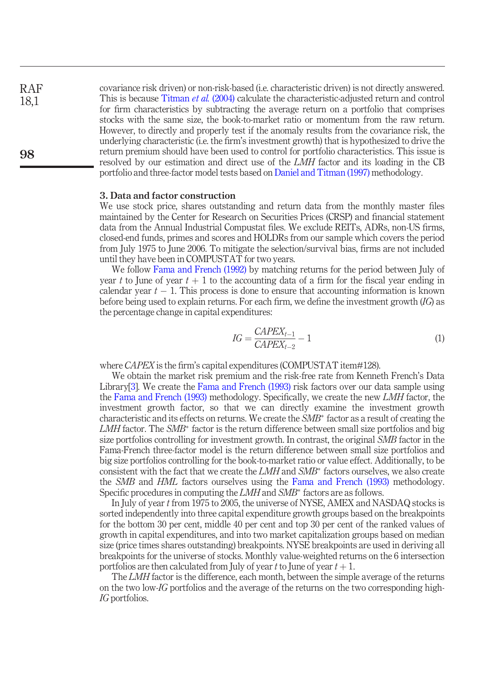covariance risk driven) or non-risk-based (i.e. characteristic driven) is not directly answered. This is because [Titman](#page-17-1) *et al.* (2004) calculate the characteristic-adjusted return and control for firm characteristics by subtracting the average return on a portfolio that comprises stocks with the same size, the book-to-market ratio or momentum from the raw return. However, to directly and properly test if the anomaly results from the covariance risk, the underlying characteristic (i.e. the firm's investment growth) that is hypothesized to drive the return premium should have been used to control for portfolio characteristics. This issue is resolved by our estimation and direct use of the LMH factor and its loading in the CB portfolio and three-factor model tests based on [Daniel and Titman \(1997\)](#page-16-2) methodology. RAF 18,1 98

### 3. Data and factor construction

We use stock price, shares outstanding and return data from the monthly master files maintained by the Center for Research on Securities Prices (CRSP) and financial statement data from the Annual Industrial Compustat files. We exclude REITs, ADRs, non-US firms, closed-end funds, primes and scores and HOLDRs from our sample which covers the period from July 1975 to June 2006. To mitigate the selection/survival bias, firms are not included until they have been in COMPUSTAT for two years.

We follow [Fama and French \(1992\)](#page-16-0) by matching returns for the period between July of year t to June of year  $t + 1$  to the accounting data of a firm for the fiscal year ending in calendar year  $t - 1$ . This process is done to ensure that accounting information is known before being used to explain returns. For each firm, we define the investment growth (IG) as the percentage change in capital expenditures:

$$
IG = \frac{CAPEX_{t-1}}{CAPEX_{t-2}} - 1\tag{1}
$$

where *CAPEX* is the firm's capital expenditures (COMPUSTAT item#128).

We obtain the market risk premium and the risk-free rate from Kenneth French's Data Library[\[3](#page-15-2)]. We create the [Fama and French \(1993\)](#page-16-4) risk factors over our data sample using the [Fama and French \(1993\)](#page-16-4) methodology. Specifically, we create the new LMH factor, the investment growth factor, so that we can directly examine the investment growth characteristic and its effects on returns. We create the  $SMB^*$  factor as a result of creating the  $LMH$  factor. The  $SMB^*$  factor is the return difference between small size portfolios and big size portfolios controlling for investment growth. In contrast, the original SMB factor in the Fama-French three-factor model is the return difference between small size portfolios and big size portfolios controlling for the book-to-market ratio or value effect. Additionally, to be consistent with the fact that we create the  $LMH$  and  $SMB^*$  factors ourselves, we also create the SMB and HML factors ourselves using the [Fama and French \(1993\)](#page-16-4) methodology. Specific procedures in computing the  $LMH$  and  $SMB^*$  factors are as follows.

In July of year t from 1975 to 2005, the universe of NYSE, AMEX and NASDAQ stocks is sorted independently into three capital expenditure growth groups based on the breakpoints for the bottom 30 per cent, middle 40 per cent and top 30 per cent of the ranked values of growth in capital expenditures, and into two market capitalization groups based on median size (price times shares outstanding) breakpoints. NYSE breakpoints are used in deriving all breakpoints for the universe of stocks. Monthly value-weighted returns on the 6 intersection portfolios are then calculated from July of year t to June of year  $t + 1$ .

The LMH factor is the difference, each month, between the simple average of the returns on the two low-IG portfolios and the average of the returns on the two corresponding high-IG portfolios.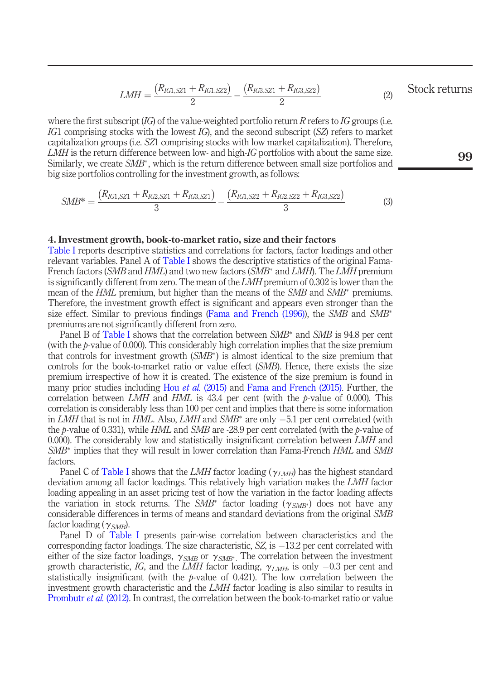$$
LMH = \frac{(R_{IG1,SZ1} + R_{IG1,SZ2})}{2} - \frac{(R_{IG3,SZ1} + R_{IG3,SZ2})}{2}
$$
 (2) Stock returns

where the first subscript  $(IG)$  of the value-weighted portfolio return R refers to IG groups (i.e. IG1 comprising stocks with the lowest IG), and the second subscript (SZ) refers to market capitalization groups (i.e. SZ1 comprising stocks with low market capitalization). Therefore,  $LMH$  is the return difference between low- and high- $IG$  portfolios with about the same size. Similarly, we create  $SMB^*$ , which is the return difference between small size portfolios and big size portfolios controlling for the investment growth, as follows:

$$
SMB^* = \frac{(R_{IG1,SZ1} + R_{IG2,SZ1} + R_{IG3,SZ1})}{3} - \frac{(R_{IG1,SZ2} + R_{IG2,SZ2} + R_{IG3,SZ2})}{3}
$$
(3)

#### 4. Investment growth, book-to-market ratio, size and their factors

[Table I](#page-5-0) reports descriptive statistics and correlations for factors, factor loadings and other relevant variables. Panel A of [Table I](#page-5-0) shows the descriptive statistics of the original Fama-French factors (SMB and HML) and two new factors (SMB<sup>\*</sup> and LMH). The LMH premium is significantly different from zero. The mean of the  $LMH$  premium of 0.302 is lower than the mean of the  $HML$  premium, but higher than the means of the  $SMB$  and  $SMB^*$  premiums. Therefore, the investment growth effect is significant and appears even stronger than the size effect. Similar to previous findings ([Fama and French \(1996\)\)](#page-16-12), the SMB and SMB<sup>\*</sup> premiums are not significantly different from zero.

Panel B of [Table I](#page-5-0) shows that the correlation between  $SMB^*$  and  $SMB$  is 94.8 per cent (with the  $p$ -value of 0.000). This considerably high correlation implies that the size premium that controls for investment growth  $(SMB^*)$  is almost identical to the size premium that controls for the book-to-market ratio or value effect (SMB). Hence, there exists the size premium irrespective of how it is created. The existence of the size premium is found in many prior studies including Hou et al. [\(2015\)](#page-16-13) and [Fama and French \(2015\)](#page-16-14). Further, the correlation between  $LMH$  and  $HML$  is 43.4 per cent (with the p-value of 0.000). This correlation is considerably less than 100 per cent and implies that there is some information in  $LMH$  that is not in HML. Also,  $LMH$  and  $SMB^*$  are only  $-5.1$  per cent correlated (with the p-value of 0.331), while HML and SMB are -28.9 per cent correlated (with the p-value of 0.000). The considerably low and statistically insignificant correlation between LMH and  $SMB^*$  implies that they will result in lower correlation than Fama-French  $HML$  and  $SMB$ factors.

Panel C of [Table I](#page-5-0) shows that the LMH factor loading  $(\gamma_{LMH})$  has the highest standard deviation among all factor loadings. This relatively high variation makes the LMH factor loading appealing in an asset pricing test of how the variation in the factor loading affects the variation in stock returns. The SMB<sup>\*</sup> factor loading ( $\gamma_{SMB}$ ) does not have any considerable differences in terms of means and standard deviations from the original SMB factor loading ( $\gamma_{SMB}$ ).

Panel D of [Table I](#page-5-0) presents pair-wise correlation between characteristics and the corresponding factor loadings. The size characteristic,  $SZ$ , is  $-13.2$  per cent correlated with either of the size factor loadings,  $\gamma_{SMB}$  or  $\gamma_{SMB^*}$ . The correlation between the investment growth characteristic, IG, and the LMH factor loading,  $\gamma_{LMH}$ , is only  $-0.3$  per cent and statistically insignificant (with the  $p$ -value of 0.421). The low correlation between the investment growth characteristic and the LMH factor loading is also similar to results in [Prombutr](#page-17-3) *et al.* (2012). In contrast, the correlation between the book-to-market ratio or value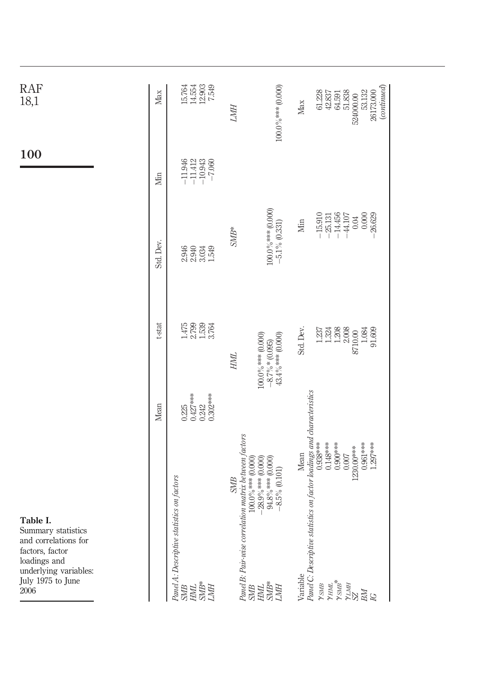<span id="page-5-0"></span>

| <b>RAF</b><br>18,1                                                                                            | Max       | 12.903<br>7.549<br>15.764<br>14.554                              | <b>LMH</b> | 100.0% *** (0.000)                                         | Max       | $_{continued}$<br>26173.000<br>$61.228$<br>$42.837$<br>51.838<br>53.132<br>64.591<br>524000.00                                                                   |
|---------------------------------------------------------------------------------------------------------------|-----------|------------------------------------------------------------------|------------|------------------------------------------------------------|-----------|------------------------------------------------------------------------------------------------------------------------------------------------------------------|
| 100                                                                                                           | Nin       | $-11.412$<br>$-11.946$<br>$-10.943$<br>$-7.060$                  |            |                                                            |           |                                                                                                                                                                  |
|                                                                                                               | Std. Dev. | 2.946<br>3.034<br>1.549<br>2.940                                 | $SMB^*$    | 1000,0%*** (0.000)<br>$-5.1\%$ (0.331)                     | Min       | $-15.910$<br>$-14.456$<br>0.000<br>$-44.107$<br>$-26.629$<br>$-25.131$<br>$0.04\,$                                                                               |
|                                                                                                               | t-stat    | 1.475<br>2.799<br>1.539<br>3.764                                 | HML        | 100.0%*** (0.000)<br>43.4% *** (0.000)<br>$-8.7\%*(0.095)$ | Std. Dev. | $\begin{array}{c} 1.237 \\ 1.324 \\ 1.208 \end{array}$<br>2.008<br>$1.084\,$<br>91.609<br>8710.00                                                                |
|                                                                                                               | Mean      | $0.427***$<br>$0.302***$<br>0.242<br>0.225                       |            |                                                            |           |                                                                                                                                                                  |
| Table I.<br>Summary statistics                                                                                |           | Panel A: Descriptive statistics on factors<br>SMB<br>HML<br>SMB* | <b>SMB</b> |                                                            | Mean      | Panel C. Descriptive statistics on factor loadings and characteristics<br>0.938***<br>$0.148***$<br>$0.900***$<br>0.961***<br>1.297****<br>1230.00***<br>$0.007$ |
| and correlations for<br>factors, factor<br>loadings and<br>underlying variables:<br>July 1975 to June<br>2006 |           |                                                                  |            |                                                            | Variable  | $\begin{array}{l} \gamma_{SMB}\\ \gamma_{HML}\\ \gamma_{SMB}^*\\ \gamma_{SMB}^*\\ \gamma_{LMB}^*\\ \mathrm{EM} \\ \mathrm{B} M\\ \mathrm{G} \end{array}$         |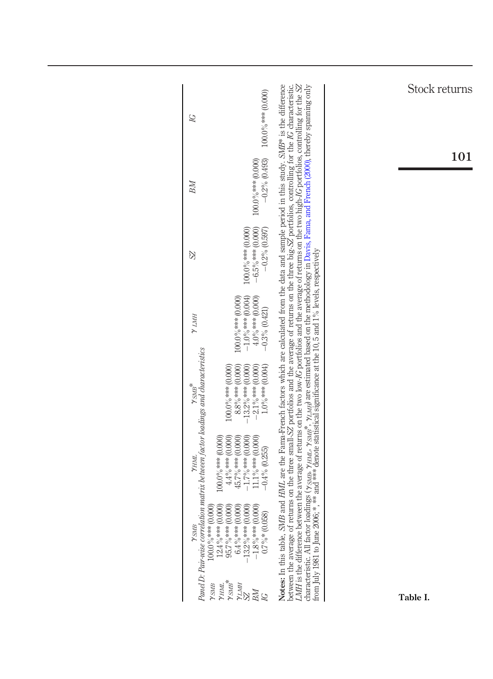| Stock returns |                                                                                                                                                                                                                                                                                                                                                                                                                                                                              |                                                                                                                                                                                     |                                                                          |
|---------------|------------------------------------------------------------------------------------------------------------------------------------------------------------------------------------------------------------------------------------------------------------------------------------------------------------------------------------------------------------------------------------------------------------------------------------------------------------------------------|-------------------------------------------------------------------------------------------------------------------------------------------------------------------------------------|--------------------------------------------------------------------------|
|               |                                                                                                                                                                                                                                                                                                                                                                                                                                                                              | $100.0\%$ *** $(0.000)$                                                                                                                                                             | Ľ                                                                        |
| 101           |                                                                                                                                                                                                                                                                                                                                                                                                                                                                              | $-0.2\%$ (0.493)<br>$10000$ % *** $(0.000)$                                                                                                                                         | BМ                                                                       |
|               |                                                                                                                                                                                                                                                                                                                                                                                                                                                                              | $-6.5\%$ *** (0.000)<br>$-0.2\%$ (0.597)<br>$10000$ <sup>%</sup> *** $(0.000)$                                                                                                      | S2                                                                       |
|               |                                                                                                                                                                                                                                                                                                                                                                                                                                                                              | $-1.0\%$ *** (0.004)<br>$4.0\%$ *** (0.000)<br>$100.0$ % *** $(0.000)$<br>$-0.3\%$ $(0.421)$                                                                                        | У LMH                                                                    |
|               |                                                                                                                                                                                                                                                                                                                                                                                                                                                                              | $1.0\%$ *** $(0.004)$<br>8.8% *** (0.000)<br>$-2.1\%$ *** (0.000)<br>$10000$ <sup>%***</sup> $(0.000)$<br>$-13.2\%$ *** (0.000)                                                     | $\gamma_{SMB}{}^*$                                                       |
|               | returns on the three small- $\Omega$ portfolios and the average of returns on the three big- $\Omega$ portfolios, controlling for the IG characteristic.<br><i>IB</i> and <i>HML</i> are the Fama-French factors which are calculated from the data and sample period in this study. SMP* is the difference                                                                                                                                                                  | $-1.7\%$ *** (0.000)<br>$4.4\%$ *** (0.000)<br>45.7% *** (0.000)<br>$11.1\%***$ (0.000)<br>$100.0$ <sup>%***</sup> (0.000)<br>$-0.4\%$ (0.255)                                      | lation matrix between factor loadings and characteristics<br><b>YHML</b> |
|               | LMH is the difference between the average of returns on the two low-IG portfolios and the average of returns on the two high-IG portfolios, controlling for the SZ<br>characteristic. All factor loadings (7 so <i>ng, 1 rang, 7 song<sup>s</sup>, 71 ang)</i> are estimated based on the methodology in Davis, Fama, and French (2000), thereby spanning only<br>from July 1981 to June 2006; *, ** and **** denote s<br>Notes: In this table, SN<br>between the average of | (0.000)<br>(0.000)<br>(0.000)<br>(0.000)<br>(0.000)<br>$1000\%$ *** $(0.000)$<br>$-1.8\%$ *** (0.000)<br>0.7%* (0.058)<br>$12.4\%$ ***<br>95.7% ***<br>$6.4\%$ ***<br>$-13.2\%$ *** | $\gamma_{SMB}$<br>Panel D: Pair-wise corre                               |
| Table I.      |                                                                                                                                                                                                                                                                                                                                                                                                                                                                              | $\begin{array}{l} \gamma_{SMB}^{*}\\ \gamma_{LMH}^{*}\\ \gamma_{LMH}^{*}\\ \delta Z\\ \bar{B}M\\ \bar{C} \end{array}$<br>$\gamma_{HML}$<br>$\gamma_{SMB}$                           |                                                                          |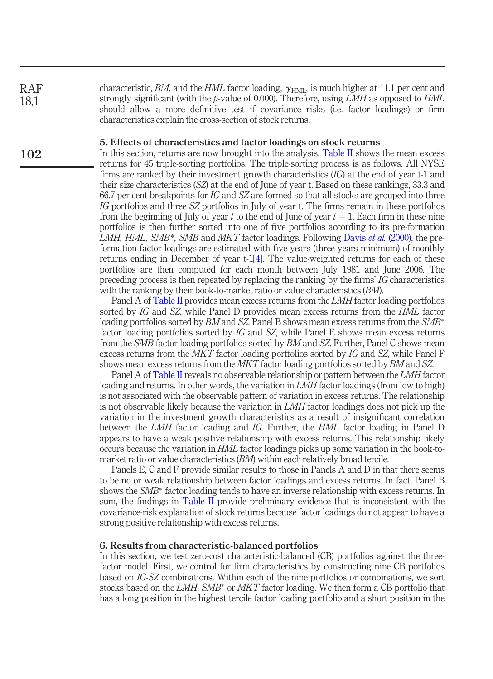characteristic, BM, and the HML factor loading,  $\gamma_{\text{HML}}$ , is much higher at 11.1 per cent and strongly significant (with the  $p$ -value of 0.000). Therefore, using  $LMH$  as opposed to  $HML$ should allow a more definitive test if covariance risks (i.e. factor loadings) or firm characteristics explain the cross-section of stock returns.

#### 5. Effects of characteristics and factor loadings on stock returns

RAF 18,1

102

In this section, returns are now brought into the analysis. [Table II](#page-8-0) shows the mean excess returns for 45 triple-sorting portfolios. The triple-sorting process is as follows. All NYSE firms are ranked by their investment growth characteristics (IG) at the end of year t-1 and their size characteristics (SZ) at the end of June of year t. Based on these rankings, 33.3 and 66.7 per cent breakpoints for  $IG$  and  $SZ$  are formed so that all stocks are grouped into three IG portfolios and three SZ portfolios in July of year t. The firms remain in these portfolios from the beginning of July of year t to the end of June of year  $t + 1$ . Each firm in these nine portfolios is then further sorted into one of five portfolios according to its pre-formation LMH, HML, SMB<sup>\*</sup>, SMB and MKT factor loadings. Following [Davis](#page-16-8) *et al.* (2000), the preformation factor loadings are estimated with five years (three years minimum) of monthly returns ending in December of year t-1[[4](#page-15-3)]. The value-weighted returns for each of these portfolios are then computed for each month between July 1981 and June 2006. The preceding process is then repeated by replacing the ranking by the firms' IG characteristics with the ranking by their book-to-market ratio or value characteristics (BM).

Panel A of [Table II](#page-8-0) provides mean excess returns from the *LMH* factor loading portfolios sorted by IG and SZ, while Panel D provides mean excess returns from the HML factor loading portfolios sorted by  $BM$  and SZ. Panel B shows mean excess returns from the  $SMB^*$ factor loading portfolios sorted by  $IG$  and  $SZ$ , while Panel E shows mean excess returns from the SMB factor loading portfolios sorted by BM and SZ. Further, Panel C shows mean excess returns from the MKT factor loading portfolios sorted by IG and SZ, while Panel F shows mean excess returns from the MKT factor loading portfolios sorted by BM and SZ.

Panel A of [Table II](#page-8-0) reveals no observable relationship or pattern between the LMH factor loading and returns. In other words, the variation in LMH factor loadings (from low to high) is not associated with the observable pattern of variation in excess returns. The relationship is not observable likely because the variation in LMH factor loadings does not pick up the variation in the investment growth characteristics as a result of insignificant correlation between the LMH factor loading and IG. Further, the HML factor loading in Panel D appears to have a weak positive relationship with excess returns. This relationship likely occurs because the variation in HML factor loadings picks up some variation in the book-tomarket ratio or value characteristics (BM) within each relatively broad tercile.

Panels E, C and F provide similar results to those in Panels A and D in that there seems to be no or weak relationship between factor loadings and excess returns. In fact, Panel B shows the  $SMB^*$  factor loading tends to have an inverse relationship with excess returns. In sum, the findings in [Table II](#page-8-0) provide preliminary evidence that is inconsistent with the covariance-risk explanation of stock returns because factor loadings do not appear to have a strong positive relationship with excess returns.

# 6. Results from characteristic-balanced portfolios

In this section, we test zero-cost characteristic-balanced (CB) portfolios against the threefactor model. First, we control for firm characteristics by constructing nine CB portfolios based on IG-SZ combinations. Within each of the nine portfolios or combinations, we sort stocks based on the LMH,  $SMB^*$  or MKT factor loading. We then form a CB portfolio that has a long position in the highest tercile factor loading portfolio and a short position in the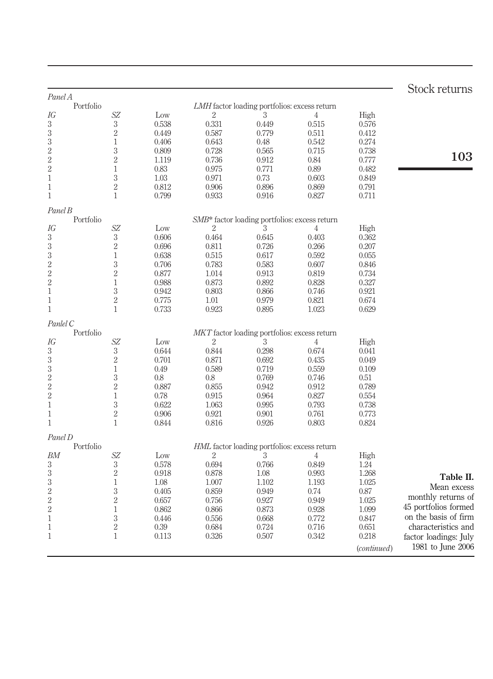<span id="page-8-0"></span>

|                              |           |                                |                |                  |                                               |                |                      | Stock returns         |
|------------------------------|-----------|--------------------------------|----------------|------------------|-----------------------------------------------|----------------|----------------------|-----------------------|
| Panel A                      | Portfolio |                                |                |                  | LMH factor loading portfolios: excess return  |                |                      |                       |
| IG                           |           | SZ                             | Low            | $\boldsymbol{2}$ | 3                                             | $\overline{4}$ | High                 |                       |
|                              |           |                                | 0.538          | 0.331            | 0.449                                         | 0.515          |                      |                       |
| $\sqrt{3}$                   |           | $\,3$                          |                |                  |                                               |                | 0.576                |                       |
| $\boldsymbol{3}$             |           | $\overline{2}$                 | 0.449          | 0.587            | 0.779                                         | 0.511          | 0.412                |                       |
| 3                            |           | $\mathbf{1}$                   | 0.406          | 0.643            | 0.48                                          | 0.542          | 0.274                |                       |
| $\overline{2}$               |           | 3                              | 0.809          | 0.728            | 0.565                                         | 0.715          | 0.738                | 103                   |
| $\overline{2}$               |           | $\overline{2}$                 | 1.119          | 0.736            | 0.912                                         | 0.84           | 0.777                |                       |
| $\overline{2}$               |           | $\mathbf{1}$                   | 0.83           | 0.975            | 0.771                                         | 0.89           | 0.482                |                       |
| $\mathbf{1}$                 |           | 3                              | 1.03           | 0.971            | 0.73                                          | 0.603          | 0.849                |                       |
| $\mathbf{1}$                 |           | $\overline{2}$                 | 0.812          | 0.906            | 0.896                                         | 0.869          | 0.791                |                       |
| $\mathbf{1}$                 |           | $\mathbf{1}$                   | 0.799          | 0.933            | 0.916                                         | 0.827          | 0.711                |                       |
| Panel B                      |           |                                |                |                  |                                               |                |                      |                       |
|                              | Portfolio |                                |                |                  | SMB* factor loading portfolios: excess return |                |                      |                       |
| IG                           |           | SZ                             | Low            | $\boldsymbol{2}$ | 3                                             | $\overline{4}$ | High                 |                       |
| 3                            |           | 3                              | 0.606          | 0.464            | 0.645                                         | 0.403          | 0.362                |                       |
| $\sqrt{3}$                   |           | $\,2$                          | 0.696          | 0.811            | 0.726                                         | 0.266          | 0.207                |                       |
| 3                            |           | $\mathbf{1}$                   | 0.638          | 0.515            | 0.617                                         | 0.592          | 0.055                |                       |
| $\overline{2}$               |           | 3                              | 0.706          | 0.783            | 0.583                                         | 0.607          | 0.846                |                       |
| $\overline{2}$               |           | $\overline{2}$                 | 0.877          | 1.014            | 0.913                                         | 0.819          | 0.734                |                       |
| $\overline{2}$               |           | $\mathbf{1}$                   | 0.988          | 0.873            | 0.892                                         | 0.828          | 0.327                |                       |
| $\,1\,$                      |           | 3                              | 0.942          | 0.803            | 0.866                                         | 0.746          | 0.921                |                       |
| $\mathbf{1}$                 |           | $\overline{2}$                 | 0.775          | 1.01             | 0.979                                         | 0.821          | 0.674                |                       |
| $\mathbf{1}$                 |           | $\mathbf{1}$                   | 0.733          | 0.923            | 0.895                                         | 1.023          | 0.629                |                       |
| Panlel C                     |           |                                |                |                  |                                               |                |                      |                       |
|                              | Portfolio |                                |                |                  | MKT factor loading portfolios: excess return  |                |                      |                       |
| IG                           |           | SZ                             | Low            | 2                | 3                                             | 4              | High                 |                       |
| 3                            |           | $\,3$                          | 0.644          | 0.844            | 0.298                                         | 0.674          | 0.041                |                       |
| $\sqrt{3}$                   |           | $\overline{2}$                 | 0.701          | 0.871            | 0.692                                         | 0.435          | 0.049                |                       |
| 3                            |           | $\mathbf{1}$                   | 0.49           | 0.589            | 0.719                                         | 0.559          | 0.109                |                       |
| $\bar{2}$                    |           | 3                              | 0.8            | 0.8              | 0.769                                         | 0.746          | 0.51                 |                       |
| $\overline{2}$               |           | $\overline{2}$                 | 0.887          |                  | 0.942                                         |                |                      |                       |
| $\overline{2}$               |           | $\mathbf{1}$                   | 0.78           | 0.855<br>0.915   | 0.964                                         | 0.912<br>0.827 | 0.789<br>0.554       |                       |
|                              |           |                                |                |                  |                                               |                |                      |                       |
| $\mathbf{1}$                 |           | 3                              | 0.622          | 1.063            | 0.995                                         | 0.793          | 0.738                |                       |
| $\mathbf{1}$<br>$\mathbf{1}$ |           | $\overline{2}$<br>$\mathbf{1}$ | 0.906<br>0.844 | 0.921<br>0.816   | 0.901<br>0.926                                | 0.761<br>0.803 | 0.773<br>0.824       |                       |
|                              |           |                                |                |                  |                                               |                |                      |                       |
| Panel D                      |           |                                |                |                  |                                               |                |                      |                       |
|                              | Portfolio |                                |                |                  | HML factor loading portfolios: excess return  |                |                      |                       |
| BM                           |           | SZ                             | Low            | $\overline{c}$   | 3                                             | 4              | High                 |                       |
| 3                            |           | $\,3$                          | 0.578          | 0.694            | 0.766                                         | 0.849          | 1.24                 |                       |
| $\sqrt{3}$                   |           | $\overline{2}$                 | 0.918          | 0.878            | 1.08                                          | 0.993          | 1.268                | Table II.             |
| $\sqrt{3}$                   |           | $\mathbf{1}$                   | 1.08           | 1.007            | 1.102                                         | 1.193          | 1.025                | Mean excess           |
| $\frac{2}{2}$                |           | $\boldsymbol{3}$               | 0.405          | 0.859            | 0.949                                         | 0.74           | $0.87\,$             |                       |
|                              |           | $\overline{2}$                 | 0.657          | 0.756            | 0.927                                         | 0.949          | 1.025                | monthly returns of    |
| $\overline{2}$               |           | $\,1$                          | 0.862          | 0.866            | 0.873                                         | 0.928          | 1.099                | 45 portfolios formed  |
| $\,1\,$                      |           | 3                              | 0.446          | 0.556            | 0.668                                         | 0.772          | 0.847                | on the basis of firm  |
| $\mathbf{1}$                 |           | $\overline{2}$                 | 0.39           | 0.684            | 0.724                                         | 0.716          | 0.651                | characteristics and   |
| $\mathbf{1}$                 |           | $\mathbf{1}$                   | 0.113          | 0.326            | 0.507                                         | 0.342          | 0.218                | factor loadings: July |
|                              |           |                                |                |                  |                                               |                | ( <i>continued</i> ) | 1981 to June 2006     |
|                              |           |                                |                |                  |                                               |                |                      |                       |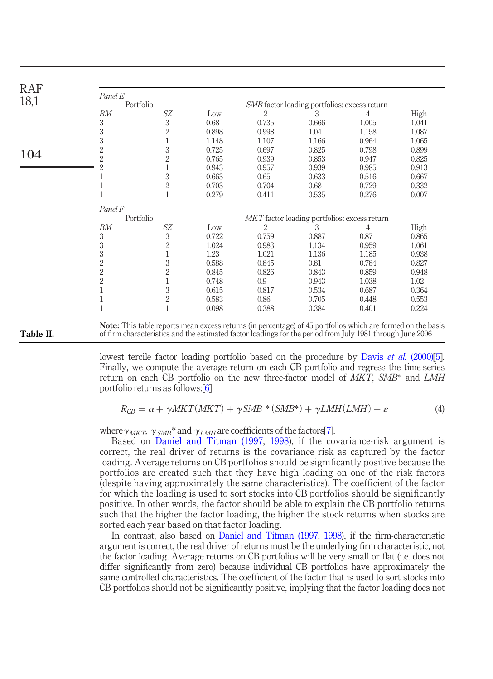| <b>RAF</b> | Panel E        |                |       |                |                                                     |       |       |
|------------|----------------|----------------|-------|----------------|-----------------------------------------------------|-------|-------|
| 18,1       |                | Portfolio      |       |                | <i>SMB</i> factor loading portfolios: excess return |       |       |
|            | BM             | SZ             | Low   | 2              | 3                                                   | 4     | High  |
|            | 3              | 3              | 0.68  | 0.735          | 0.666                                               | 1.005 | 1.041 |
|            | 3              | $\overline{2}$ | 0.898 | 0.998          | 1.04                                                | 1.158 | 1.087 |
|            | 3              | $\mathbf 1$    | 1.148 | 1.107          | 1.166                                               | 0.964 | 1.065 |
|            | $\overline{2}$ | 3              | 0.725 | 0.697          | 0.825                                               | 0.798 | 0.899 |
| 104        | $\overline{2}$ | $\overline{2}$ | 0.765 | 0.939          | 0.853                                               | 0.947 | 0.825 |
|            | $\overline{2}$ | $\mathbf{1}$   | 0.943 | 0.957          | 0.939                                               | 0.985 | 0.913 |
|            | 1              | 3              | 0.663 | 0.65           | 0.633                                               | 0.516 | 0.667 |
|            |                | $\sqrt{2}$     | 0.703 | 0.704          | 0.68                                                | 0.729 | 0.332 |
|            | $\mathbf{1}$   | $\overline{1}$ | 0.279 | 0.411          | 0.535                                               | 0.276 | 0.007 |
|            | Panel F        |                |       |                |                                                     |       |       |
|            |                | Portfolio      |       |                | MKT factor loading portfolios: excess return        |       |       |
|            | BM             | SZ             | Low   | $\overline{2}$ | 3                                                   | 4     | High  |
|            | 3              | 3              | 0.722 | 0.759          | 0.887                                               | 0.87  | 0.865 |
|            | $\sqrt{3}$     | $\overline{2}$ | 1.024 | 0.983          | 1.134                                               | 0.959 | 1.061 |
|            | 3              | $\mathbf{1}$   | 1.23  | 1.021          | 1.136                                               | 1.185 | 0.938 |
|            | $\overline{2}$ | 3              | 0.588 | 0.845          | 0.81                                                | 0.784 | 0.827 |
|            | $\overline{2}$ | $\overline{2}$ | 0.845 | 0.826          | 0.843                                               | 0.859 | 0.948 |
|            | $\overline{2}$ | $\mathbf{1}$   | 0.748 | 0.9            | 0.943                                               | 1.038 | 1.02  |
|            |                | 3              | 0.615 | 0.817          | 0.534                                               | 0.687 | 0.364 |
|            | 1              | $\overline{2}$ | 0.583 | 0.86           | 0.705                                               | 0.448 | 0.553 |
|            | $\mathbf{1}$   | $\mathbf{1}$   | 0.098 | 0.388          | 0.384                                               | 0.401 | 0.224 |

**Table II.** of firm characteristics and the estimated factor loadings for the period from July 1981 through June 2006

lowest tercile factor loading portfolio based on the procedure by Davis et al. [\(2000\)\[](#page-16-8)[5\]](#page-15-4). Finally, we compute the average return on each CB portfolio and regress the time-series return on each CB portfolio on the new three-factor model of  $MKT$ ,  $SMB^*$  and  $LMH$ portfolio returns as follows:[\[6\]](#page-15-5)

$$
R_{CB} = \alpha + \gamma MKT(MKT) + \gamma SMB * (SMB^*) + \gamma LMH(LMH) + \varepsilon \tag{4}
$$

where  $\gamma_{MKT}$ ,  $\gamma_{SMB}$ <sup>\*</sup> and  $\gamma_{LMH}$  are coefficients of the factors[[7](#page-15-6)].

Based on [Daniel and Titman \(1997](#page-16-2), [1998](#page-16-3)), if the covariance-risk argument is correct, the real driver of returns is the covariance risk as captured by the factor loading. Average returns on CB portfolios should be significantly positive because the portfolios are created such that they have high loading on one of the risk factors (despite having approximately the same characteristics). The coefficient of the factor for which the loading is used to sort stocks into CB portfolios should be significantly positive. In other words, the factor should be able to explain the CB portfolio returns such that the higher the factor loading, the higher the stock returns when stocks are sorted each year based on that factor loading.

In contrast, also based on [Daniel and Titman \(1997](#page-16-2), [1998\)](#page-16-3), if the firm-characteristic argument is correct, the real driver of returns must be the underlying firm characteristic, not the factor loading. Average returns on CB portfolios will be very small or flat (i.e. does not differ significantly from zero) because individual CB portfolios have approximately the same controlled characteristics. The coefficient of the factor that is used to sort stocks into CB portfolios should not be significantly positive, implying that the factor loading does not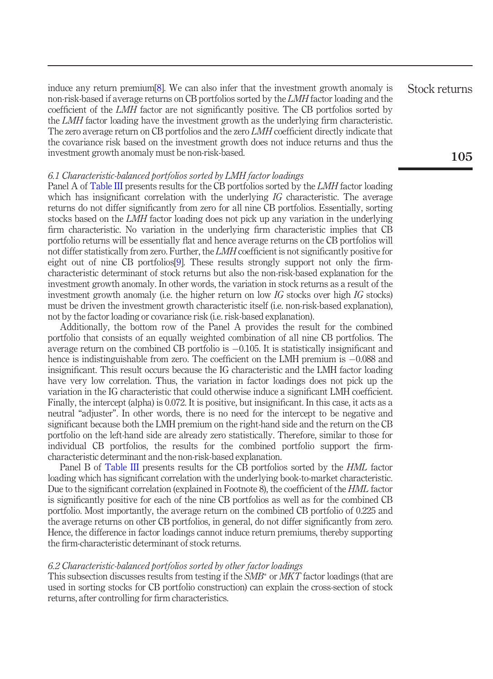induce any return premium[\[8\]](#page-15-7). We can also infer that the investment growth anomaly is non-risk-based if average returns on CB portfolios sorted by the LMH factor loading and the coefficient of the LMH factor are not significantly positive. The CB portfolios sorted by the LMH factor loading have the investment growth as the underlying firm characteristic. The zero average return on CB portfolios and the zero *LMH* coefficient directly indicate that the covariance risk based on the investment growth does not induce returns and thus the investment growth anomaly must be non-risk-based.

#### 6.1 Characteristic-balanced portfolios sorted by LMH factor loadings

Panel A of [Table III](#page-11-0) presents results for the CB portfolios sorted by the LMH factor loading which has insignificant correlation with the underlying IG characteristic. The average returns do not differ significantly from zero for all nine CB portfolios. Essentially, sorting stocks based on the *LMH* factor loading does not pick up any variation in the underlying firm characteristic. No variation in the underlying firm characteristic implies that CB portfolio returns will be essentially flat and hence average returns on the CB portfolios will not differ statistically from zero. Further, the LMH coefficient is not significantly positive for eight out of nine CB portfolios<sup>[[9](#page-15-8)]</sup>. These results strongly support not only the firmcharacteristic determinant of stock returns but also the non-risk-based explanation for the investment growth anomaly. In other words, the variation in stock returns as a result of the investment growth anomaly (i.e. the higher return on low  $IG$  stocks over high  $IG$  stocks) must be driven the investment growth characteristic itself (i.e. non-risk-based explanation), not by the factor loading or covariance risk (i.e. risk-based explanation).

Additionally, the bottom row of the Panel A provides the result for the combined portfolio that consists of an equally weighted combination of all nine CB portfolios. The average return on the combined CB portfolio is  $-0.105$ . It is statistically insignificant and hence is indistinguishable from zero. The coefficient on the LMH premium is  $-0.088$  and insignificant. This result occurs because the IG characteristic and the LMH factor loading have very low correlation. Thus, the variation in factor loadings does not pick up the variation in the IG characteristic that could otherwise induce a significant LMH coefficient. Finally, the intercept (alpha) is 0.072. It is positive, but insignificant. In this case, it acts as a neutral "adjuster". In other words, there is no need for the intercept to be negative and significant because both the LMH premium on the right-hand side and the return on the CB portfolio on the left-hand side are already zero statistically. Therefore, similar to those for individual CB portfolios, the results for the combined portfolio support the firmcharacteristic determinant and the non-risk-based explanation.

Panel B of [Table III](#page-11-0) presents results for the CB portfolios sorted by the *HML* factor loading which has significant correlation with the underlying book-to-market characteristic. Due to the significant correlation (explained in Footnote 8), the coefficient of the *HML* factor is significantly positive for each of the nine CB portfolios as well as for the combined CB portfolio. Most importantly, the average return on the combined CB portfolio of 0.225 and the average returns on other CB portfolios, in general, do not differ significantly from zero. Hence, the difference in factor loadings cannot induce return premiums, thereby supporting the firm-characteristic determinant of stock returns.

## 6.2 Characteristic-balanced portfolios sorted by other factor loadings

This subsection discusses results from testing if the  $SMB^*$  or  $MKT$  factor loadings (that are used in sorting stocks for CB portfolio construction) can explain the cross-section of stock returns, after controlling for firm characteristics.

Stock returns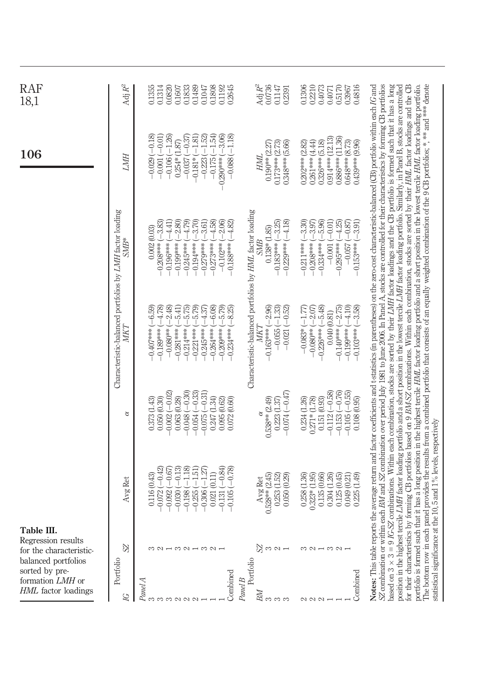<span id="page-11-0"></span>

| RAF<br>18,1                                                                                                                                            | $\text{Adj}\,R^2$                                                      | 0.0736<br>0.2210<br>0.4816<br>0.1314<br>0.0820<br>0.1833<br>0.1489<br>0.1808<br>0.1192<br>0.2645<br>Adj $R^2$<br>0.1147<br>0.1306<br>0.4073<br>0.5170<br>0.1355<br>0.1607<br>0.1047<br>0.3967<br>0.4071<br>0.2391                                                                                                                                                                                                                                                                                                                                                                                                                                                                                                                                                                                                                                                      |                                                                                                                                                                                                                                                                                                                                                                                                                                                                                                                                                                                                                                                                                                                                                                                                                                                                                                                                                       |
|--------------------------------------------------------------------------------------------------------------------------------------------------------|------------------------------------------------------------------------|------------------------------------------------------------------------------------------------------------------------------------------------------------------------------------------------------------------------------------------------------------------------------------------------------------------------------------------------------------------------------------------------------------------------------------------------------------------------------------------------------------------------------------------------------------------------------------------------------------------------------------------------------------------------------------------------------------------------------------------------------------------------------------------------------------------------------------------------------------------------|-------------------------------------------------------------------------------------------------------------------------------------------------------------------------------------------------------------------------------------------------------------------------------------------------------------------------------------------------------------------------------------------------------------------------------------------------------------------------------------------------------------------------------------------------------------------------------------------------------------------------------------------------------------------------------------------------------------------------------------------------------------------------------------------------------------------------------------------------------------------------------------------------------------------------------------------------------|
| 106                                                                                                                                                    | LMH                                                                    | $-0.106(-1.26)$<br>$-0.223(-1.52)$<br>$-0.175(-1.54)$<br>$(-3.06)$<br>$-0.029(-0.18)$<br>$(-0.01)$<br>$(-1.81)$<br>$-0.088(-1.18)$<br>$-0.037(-0.37)$<br>0.886*** (11.36)<br>$0.914***$ (12.13)<br>(1.87)<br>$0.648***$ (8.73)<br>$0.326***$ (5.18)<br>$0.202***$ (2.82)<br>0.261 *** (4.44)<br>(9.96)<br>$0.190**$ (2.27)<br>$0.173***$ (2.73)<br>0.348*** (5.66)<br>HNIL<br>$-0.001$<br>$0.254*$<br>$0.181*$<br>$-0.290***$<br>$0.439***$                                                                                                                                                                                                                                                                                                                                                                                                                            |                                                                                                                                                                                                                                                                                                                                                                                                                                                                                                                                                                                                                                                                                                                                                                                                                                                                                                                                                       |
|                                                                                                                                                        | $SMB^*$                                                                | $-0.245***(-4.79)$<br>$-0.194***(-3.70)$<br>$-0.273***(-4.58)$<br>$-2.06$<br>$-0.211***(-3.30)$<br>$-0.208***(-3.83)$<br>$(-2.80)$<br>$-0.279***(-3.61)$<br>$-0.183***(-3.25)$<br>$-0.229***(-4.18)$<br>$-0.208***(-3.97)$<br>$-0.334***(-5.96)$<br>$-0.001(-0.01)$<br>$-0.295***(-4.25)$<br>$-0.057(-0.87)$<br>$-0.153***(-3.91)$<br>$-0.196***(-4.41)$<br>$-4.82$<br>0.002(0.03)<br>$0.138 * (1.85)$<br><b>SMB</b><br>$-0.199***$<br>$-0.188***$<br>$-0.102***$                                                                                                                                                                                                                                                                                                                                                                                                      |                                                                                                                                                                                                                                                                                                                                                                                                                                                                                                                                                                                                                                                                                                                                                                                                                                                                                                                                                       |
|                                                                                                                                                        | Characteristic-balanced portfolios by <i>LMH</i> factor loading<br>MKT | Characteristic-balanced portfolios by HML factor loading<br>$(-5.79)$<br>$(-6.08)$<br>$(-5.79)$<br>$(-2.75)$<br>$-0.199***(-4.10)$<br>$-4.78$<br>$(-2.48)$<br>$(-5.75)$<br>$-0.055(-1.33)$<br>$-0.103***(-3.58)$<br>$(-5.41)$<br>$(-4.37)$<br>$(-8.25)$<br>$-0.163***(-2.96)$<br>$-0.021(-0.52)$<br>$-0.083*(-1.77)$<br>$-0.226***(-5.48)$<br>$-0.407***(-6.59)$<br>$(-2.07)$<br>0.040(0.81)<br>NIKT<br>$-0.080**$<br>$-0.234***$<br>$-0.140***$<br>$-0.189***$<br>$-0.281***$<br>$-0.221***$<br>$-0.209***$<br>$-0.080**$<br>$-0.214***$<br>$-0.245***$<br>$-0.264***$                                                                                                                                                                                                                                                                                                | Notes: This table reports the average return and factor coefficients and t-statistics (in parentheses) on the zero-cost characteristic-balanced (CB) portfolio within each 1G and<br>SZ combination or within each <i>BM</i> and SZ co<br>7 combinations. Within each combination, stocks are sorted by their LMH factor loadings and the CB portfolio is formed such that it has a long<br>portfolio is formed such that it has a long position in the highest tercile <i>HML</i> factor loading portfolio and a short position in the lowest tercile <i>HML</i> factor loading portfolio.<br>The bottom row in each panel provides t<br>t forming CB portfolios based on 9 BM-SZ combinations. Within each combination, stocks are sorted by their HML factor loadings and the CB<br>$\exists$ e LMH factor loading portfolio and a short position in the lowest tercile LMH factor loading portfolio. Similarly, in Panel B, stocks are controlled |
|                                                                                                                                                        | ₹                                                                      | $(-0.76)$<br>$(-0.55)$<br>$(-0.02)$<br>$(-0.30)$<br>$(-0.33)$<br>$(-0.31)$<br>$-0.074(-0.47)$<br>$-0.112(-0.58)$<br>(0.28)<br>(1.34)<br>(0.30)<br>(0.93)<br>(0.62)<br>0.234 (1.26)<br>(1.78)<br>0.108(0.95)<br>(0.60)<br>$0.538**$ (2.49)<br>0.223(1.37)<br>0.373 (1.43)<br>₹<br>$-0.153$<br>$-0.105$<br>0.050(<br>$-0.002$<br>$-0.048$<br>$-0.054$<br>$-0.075$<br>0.095<br>0.072<br>$0.271*$<br>0.063<br>0.247<br>0.151                                                                                                                                                                                                                                                                                                                                                                                                                                               |                                                                                                                                                                                                                                                                                                                                                                                                                                                                                                                                                                                                                                                                                                                                                                                                                                                                                                                                                       |
|                                                                                                                                                        | Avg Ret                                                                | $-0.131(-0.84)$<br>$-0.198(-1.18)$<br>$-0.105(-0.78)$<br>$0.072(-0.42)$<br>$-0.030(-0.13)$<br>$-0.255(-1.51)$<br>$-0.092(-0.67)$<br>$-0.306(-1.27)$<br>0.021(0.11)<br>0.116(0.43)<br>0.135(0.66)<br>$Avg$ Ret 0.528 $(2.45)$<br>0.253(1.52)<br>0.050(0.29)<br>0.258 (1.36)<br>$0.323*(1.95)$<br>0.304 (1.26)<br>0.125(0.45)<br>0.225(1.49)<br>0.049(0.21)                                                                                                                                                                                                                                                                                                                                                                                                                                                                                                              |                                                                                                                                                                                                                                                                                                                                                                                                                                                                                                                                                                                                                                                                                                                                                                                                                                                                                                                                                       |
| Table III.<br>Regression results<br>for the characteristic-<br>balanced portfolios<br>sorted by pre-<br>formation LMH or<br><i>HML</i> factor loadings | SZ<br>Portfolio<br>S                                                   | $M \omega$<br>$\mathcal{O} \cap \mathcal{O} \rightarrow \mathcal{O} \cap \mathcal{O} \rightarrow \mathcal{O} \cap \mathcal{O} \rightarrow \mathcal{O} \rightarrow \mathcal{O} \rightarrow \mathcal{O} \rightarrow \mathcal{O} \rightarrow \mathcal{O} \rightarrow \mathcal{O} \rightarrow \mathcal{O} \rightarrow \mathcal{O} \rightarrow \mathcal{O} \rightarrow \mathcal{O} \rightarrow \mathcal{O} \rightarrow \mathcal{O} \rightarrow \mathcal{O} \rightarrow \mathcal{O} \rightarrow \mathcal{O} \rightarrow \mathcal{O} \rightarrow \mathcal{O} \rightarrow \mathcal{O} \rightarrow \mathcal{O} \rightarrow \mathcal{O} \rightarrow \mathcal{O} \rightarrow \mathcal{$<br>$32 - 52$<br>Portfolio<br>Combined<br>Combined<br>Panel B<br>Panel A<br>$\mathbb{Z}$ and $\mathbb{Z}$<br>$\begin{array}{c} \hbox{cm} \\ \hbox{cm} \end{array}$<br>$\sim$ $\sim$ $\sim$ | statistical significance at the 10, 5 and 1% levels, respectively<br>for their characteristics by<br>position in the highest tero<br>$91G-S2$<br>$3 =$<br>based on 3 $\times$                                                                                                                                                                                                                                                                                                                                                                                                                                                                                                                                                                                                                                                                                                                                                                         |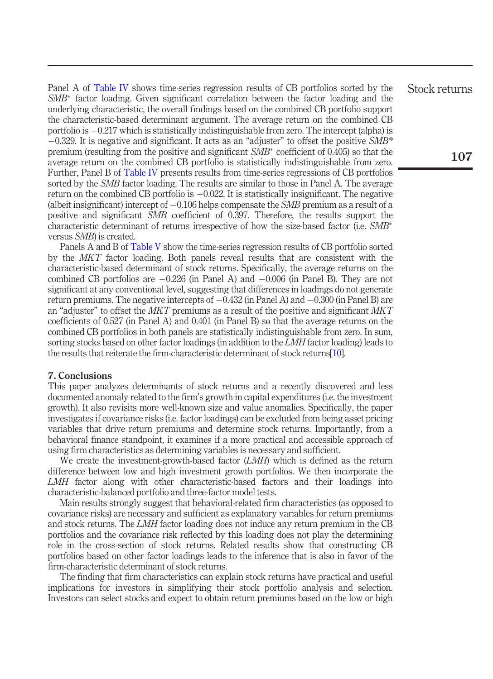Panel A of [Table IV](#page-13-0) shows time-series regression results of CB portfolios sorted by the  $SMB^*$  factor loading. Given significant correlation between the factor loading and the underlying characteristic, the overall findings based on the combined CB portfolio support the characteristic-based determinant argument. The average return on the combined CB portfolio is -0.217 which is statistically indistinguishable from zero. The intercept (alpha) is  $-0.329$ . It is negative and significant. It acts as an "adjuster" to offset the positive SMB\* premium (resulting from the positive and significant  $SMB^*$  coefficient of 0.405) so that the average return on the combined CB portfolio is statistically indistinguishable from zero. Further, Panel B of [Table IV](#page-13-0) presents results from time-series regressions of CB portfolios sorted by the *SMB* factor loading. The results are similar to those in Panel A. The average return on the combined CB portfolio is -0.022. It is statistically insignificant. The negative (albeit insignificant) intercept of  $-0.106$  helps compensate the SMB premium as a result of a positive and significant SMB coefficient of 0.397. Therefore, the results support the characteristic determinant of returns irrespective of how the size-based factor (i.e.  $SMB^*$ versus SMB) is created.

Panels A and B of [Table V](#page-14-0) show the time-series regression results of CB portfolio sorted by the MKT factor loading. Both panels reveal results that are consistent with the characteristic-based determinant of stock returns. Specifically, the average returns on the combined CB portfolios are -0.226 (in Panel A) and -0.006 (in Panel B). They are not significant at any conventional level, suggesting that differences in loadings do not generate return premiums. The negative intercepts of  $-0.432$  (in Panel A) and  $-0.300$  (in Panel B) are an "adjuster" to offset the  $MKT$  premiums as a result of the positive and significant  $MKT$ coefficients of 0.527 (in Panel A) and 0.401 (in Panel B) so that the average returns on the combined CB portfolios in both panels are statistically indistinguishable from zero. In sum, sorting stocks based on other factor loadings (in addition to the LMH factor loading) leads to the results that reiterate the firm-characteristic determinant of stock returns[[10\]](#page-15-9).

# 7. Conclusions

This paper analyzes determinants of stock returns and a recently discovered and less documented anomaly related to the firm's growth in capital expenditures (i.e. the investment growth). It also revisits more well-known size and value anomalies. Specifically, the paper investigates if covariance risks (i.e. factor loadings) can be excluded from being asset pricing variables that drive return premiums and determine stock returns. Importantly, from a behavioral finance standpoint, it examines if a more practical and accessible approach of using firm characteristics as determining variables is necessary and sufficient.

We create the investment-growth-based factor (*LMH*) which is defined as the return difference between low and high investment growth portfolios. We then incorporate the LMH factor along with other characteristic-based factors and their loadings into characteristic-balanced portfolio and three-factor model tests.

Main results strongly suggest that behavioral-related firm characteristics (as opposed to covariance risks) are necessary and sufficient as explanatory variables for return premiums and stock returns. The LMH factor loading does not induce any return premium in the CB portfolios and the covariance risk reflected by this loading does not play the determining role in the cross-section of stock returns. Related results show that constructing CB portfolios based on other factor loadings leads to the inference that is also in favor of the firm-characteristic determinant of stock returns.

The finding that firm characteristics can explain stock returns have practical and useful implications for investors in simplifying their stock portfolio analysis and selection. Investors can select stocks and expect to obtain return premiums based on the low or high Stock returns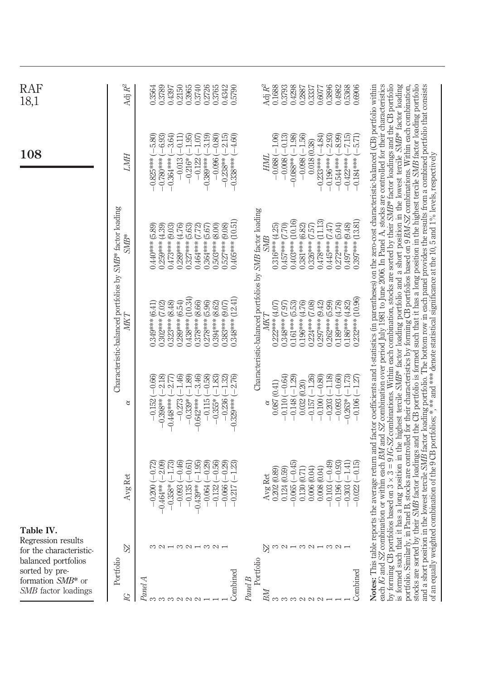<span id="page-13-0"></span>

| RAF<br>18,1                                                                                                                                            | Adj $R^2$                                                        | 0.3740<br>0.3789<br>0.3965<br>0.2726<br>Adj $R^2$<br>0.1688<br>0.3793<br>0.4298<br>0.4982<br>0.5368<br>0.6906<br>0.2150<br>0.3765<br>0.4342<br>0.3337<br>0.3896<br>0.3564<br>0.4397<br>0.5790<br>0.2887<br>0.6077                                                                                                                                                                                                                                                                                |                                                                                                                                                                                                                                                                                                                                                                                                                                                                                                                                                                                                                                                                                                                                                                                                                  |
|--------------------------------------------------------------------------------------------------------------------------------------------------------|------------------------------------------------------------------|--------------------------------------------------------------------------------------------------------------------------------------------------------------------------------------------------------------------------------------------------------------------------------------------------------------------------------------------------------------------------------------------------------------------------------------------------------------------------------------------------|------------------------------------------------------------------------------------------------------------------------------------------------------------------------------------------------------------------------------------------------------------------------------------------------------------------------------------------------------------------------------------------------------------------------------------------------------------------------------------------------------------------------------------------------------------------------------------------------------------------------------------------------------------------------------------------------------------------------------------------------------------------------------------------------------------------|
| 108                                                                                                                                                    | LMH                                                              | $-0.364***(-3.64)$<br>$(-3.19)$<br>$-0.096(-0.80)$<br>$-0.238**(-2.15)$<br>$-0.088**(-1.98)$<br>$-0.233***(-4.84)$<br>$(-7.15)$<br>$-0.184***(-5.71)$<br>$-0.825***(-5.80)$<br>$(-6.93)$<br>$-0.013(-0.11)$<br>$-0.216*(-1.95)$<br>$-0.122(-1.07)$<br>$-0.338***(-4.60)$<br>$-0.088(-1.06)$<br>$-0.008(-0.13)$<br>$-0.098(-1.56)$<br>$-0.196***(-2.93)$<br>$(-8.99)$<br>0.018(0.38)<br>$-0.780***$<br>$0.389***$<br>HML<br>$-0.544***$<br>$-0.422***$                                            |                                                                                                                                                                                                                                                                                                                                                                                                                                                                                                                                                                                                                                                                                                                                                                                                                  |
|                                                                                                                                                        | SMB*                                                             | 0.403*** (10.16)<br>$0.397***$ (13.81)<br>$0.478***$ (11.13)<br>$0.405***$ (10.51)<br>$0.527***$ (9.08)<br>0.457*** (7.70)<br>$0.473***$ (9.03)<br>$0.381***$ (6.82)<br>$0.326***$ (7.57)<br>0.445*** (7.47)<br>$0.272***$ (5.04)<br>0.497*** (9.48)<br>$0.259***$ (4.39)<br>$0.289***$ (4.76)<br>$0.327***$ (5.63)<br>$0.464***$ (7.72)<br>$0.503***$ (8.00)<br>$0.440***$ (5.89)<br>$0.364***$ (5.67)<br>$0.316***$ (4.25)<br><b>SMB</b>                                                       | tion or within each <i>BM</i> and SZ combination over period July 1981 to June 2006. In Panel A, stocks are controlled for their characteristics<br>as a long position in the highest tercile SMP* factor loading portfolio and a short position in the lowest tercile SMP* factor loading<br>is the average return and factor coefficients and t-statistics (in parentheses) on the zero-cost characteristic-balanced (CB) portfolio within                                                                                                                                                                                                                                                                                                                                                                     |
|                                                                                                                                                        | Characteristic-balanced portfolios by SMB* factor loading<br>MK7 | Characteristic-balanced portfolios by SMB factor loading<br>0.438*** (10.34)<br>0.232*** (10.96)<br>$0.348***$ (12.41)<br>$0.289***$ (6.54)<br>$0.378***$ (8.66)<br>$0.278***$ (5.96)<br>$0.383***$ (9.07)<br>$0.262***$ (5.99)<br>$0.323***$ (8.48)<br>$0.394***$ (8.62)<br>$0.222***$ (4.07)<br>$0.196***$ (4.76)<br>$0.224***$ (7.08)<br>0.189*** (4.78)<br>$0.186***$ (4.82)<br>$0.349***$ (6.41)<br>$0.302***$ (7.02)<br>$0.348***$ (7.97)<br>$0.161***$ (5.53)<br>$0.297***$ (9.42)<br>MК7 |                                                                                                                                                                                                                                                                                                                                                                                                                                                                                                                                                                                                                                                                                                                                                                                                                  |
|                                                                                                                                                        | ₹                                                                | $-0.110(-0.64)$<br>$(-1.89)$<br>$(-3.46)$<br>$-0.236(-1.32)$<br>$-0.148(-1.29)$<br>$-0.157(-1.26)$<br>$(-0.80)$<br>$-0.093(-0.60)$<br>$(-1.73)$<br>$(-2.18)$<br>$(-2.77)$<br>$-0.273(-1.46)$<br>$-0.115(-0.58)$<br>$-0.355*(-1.83)$<br>$-0.203(-1.18)$<br>$(-0.66)$<br>$(-2.76)$<br>$-0.106(-1.27)$<br>0.032(0.20)<br>0.087(0.41)<br>$0.329***$<br>$-0.448***$<br>$-0.642***$<br>$-0.263*$<br>$-0.152$<br>$-0.339*$<br>$-0.100$<br>$0.398**$<br>q                                                |                                                                                                                                                                                                                                                                                                                                                                                                                                                                                                                                                                                                                                                                                                                                                                                                                  |
|                                                                                                                                                        | Avg Ret                                                          | $(-1.73)$<br>$0.065(-0.45)$<br>$(-0.46)$<br>$(-1.95)$<br>$(-0.29)$<br>$(-0.56)$<br>$-0.066(-0.29)$<br>$(-1.23)$<br>$(-0.49)$<br>$(-0.93)$<br>$(-0.15)$<br>$(-2.09)$<br>$(-0.61)$<br>$(-1.41)$<br>$(-0.72)$<br>0.202(0.89)<br>0.124(0.59)<br>0.130(0.71)<br>0.006(0.04)<br>0.008(0.04)<br>Avg Ret<br>$-0.200($<br>$-0.093$<br>$-0.135$<br>$0.439**$<br>$-0.132$<br>$-0.217$ (<br>0.103<br>$-0.196$<br>$0.464**$<br>$-0.358*$<br>$-0.064$<br>$-0.303$<br>$-0.022$                                  |                                                                                                                                                                                                                                                                                                                                                                                                                                                                                                                                                                                                                                                                                                                                                                                                                  |
| Table IV.<br>Regression results<br>for the characteristic-<br>balanced portfolios<br>sorted by pre-<br>formation SMB* or<br><i>SMB</i> factor loadings | SZ<br>Portfolio<br>S                                             | $32 - 32 - 32$<br>$\infty$<br>$\Omega$ $\Omega$ $\Omega$ $\Omega$ $\Omega$ $\Omega$ $\Omega$<br>$\mathbb{Z}$<br>Portfolio<br>Combined<br>Combined<br>$Pane \, B$<br>Panel A<br>$_{BM}$<br>mmmann,<br><b>mmmann</b>                                                                                                                                                                                                                                                                               | by forming CB portfolios based on 3 x 3 = 9 IG-SZ combinations. Within each combination, stocks are sorted by their SMP* factor loadings and the CB portfolio<br>stocks are sorted by their SMB factor loadings and the CB portfolio is formed such that it has a long position in the highest tercile SMB factor loading portfolio and a short position in the lowest tercile SMB factor loadi<br>portfolio. Similarly, in Panel B, stocks are controlled for their characteristics by forming CB portfolios based on 9 BM-SZ combinations. Within each combination,<br>of an equally weighted combination of the 9 CB portfolios; *, *** and *** denote statistical significance at the 10, 5 and 1% levels, respectively<br>each IG and SZ combinar<br>is formed such that it has<br>Notes: This table report |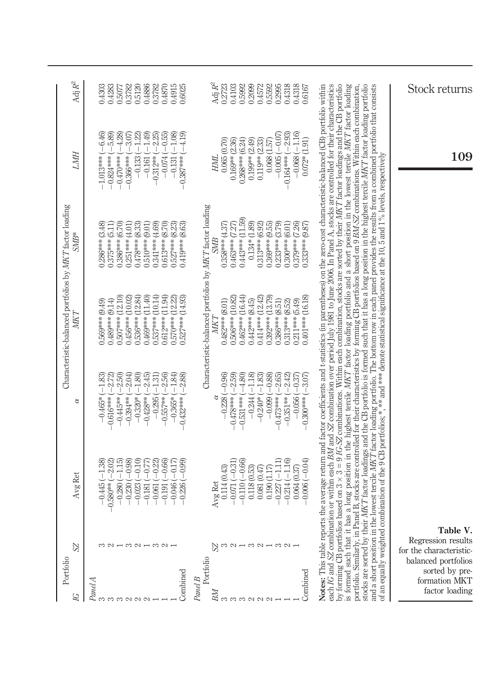<span id="page-14-0"></span>

| Portfolio                                                                                                                 |                                                                                                                                                                                                                                       |                                     |                     | Characteristic-balanced portfolios by MKT factor loading                                                                                   |                          |                    |
|---------------------------------------------------------------------------------------------------------------------------|---------------------------------------------------------------------------------------------------------------------------------------------------------------------------------------------------------------------------------------|-------------------------------------|---------------------|--------------------------------------------------------------------------------------------------------------------------------------------|--------------------------|--------------------|
| S2<br>S                                                                                                                   | Avg Ret                                                                                                                                                                                                                               | ₹                                   | MKT                 | SM <sub>B*</sub>                                                                                                                           | LMH                      | Adj $\mathbb{R}^2$ |
| Panel A                                                                                                                   |                                                                                                                                                                                                                                       |                                     |                     |                                                                                                                                            |                          |                    |
|                                                                                                                           | $(-1.38)$<br>$-0.445$                                                                                                                                                                                                                 | $(-1.83)$<br>$-0.465*$              | $0.569***$ (9.49)   | $0.286***$ (3.48)                                                                                                                          | $-1.013***(-6.46)$       | 0.4303             |
| $301 - 31 - 31 - 31 - 31$<br>mmmNNN                                                                                       | $(-2.02)$<br>$-0.580**$                                                                                                                                                                                                               | $(-2.72)$<br>$-0.616***$            | $0.489***$ $(9.14)$ | $0.375***$ (5.11)                                                                                                                          | $-0.824***(-5.89)$       | 0.4283             |
|                                                                                                                           | $(-1.15)$<br>$-0.280$                                                                                                                                                                                                                 | $(-2.50)$<br>$-0.445**$             | $0.507***$ (12.10)  | $0.386***$ (6.70)                                                                                                                          | $(-4.28)$<br>$-0.470***$ | 0.5077             |
|                                                                                                                           | $(-0.98)$<br>$-0.230$                                                                                                                                                                                                                 | $-0.394**(-2.04)$                   | $0.456***$ (10.02)  | $0.251***$ (4.01)                                                                                                                          | $(-3.07)$<br>$-0.366***$ | 0.3782             |
|                                                                                                                           | $(-0.10)$<br>$-0.023$                                                                                                                                                                                                                 | $-0.320*(-1.80)$                    | $0.536***$ (12.84)  | $0.478***$ (8.33)                                                                                                                          | $-0.133(-1.22)$          | 0.5120             |
|                                                                                                                           | $(-0.77)$<br>$-0.181$                                                                                                                                                                                                                 | $-0.428**(-2.45)$                   | $0.469***$ (11.40)  | $0.510***$ (9.01)                                                                                                                          | $-0.161(-1.49)$          | 0.4886             |
|                                                                                                                           | $(-0.22)$<br>$-0.061$                                                                                                                                                                                                                 | $-0.295(-1.31)$                     | 0.537*** (10.14)    | $0.341***$ (4.69)                                                                                                                          | $-0.312**(-2.25)$        | 0.3782             |
|                                                                                                                           | $(-0.66)$<br>$-0.191$                                                                                                                                                                                                                 | $-0.557***(-2.56)$                  | $0.612***$ (11.94)  | $0.613***$ (8.70)                                                                                                                          | $(-0.55)$<br>$-0.074$    | 0.4870             |
|                                                                                                                           | $(-0.17)$<br>$-0.046$                                                                                                                                                                                                                 | $-0.365*(-1.84)$                    | $0.570***$ (12.22)  | $0.527***$ (8.23)                                                                                                                          | $(-1.08)$<br>$-0.131$    | 0.4915             |
| Combined                                                                                                                  | $(-0.99)$<br>$-0.226$                                                                                                                                                                                                                 | $-0.432***(-2.88)$                  | $0.527***$ (14.93)  | $0.419***$ (8.63)                                                                                                                          | $0.387***(-4.19)$        | 0.6025             |
|                                                                                                                           |                                                                                                                                                                                                                                       |                                     |                     |                                                                                                                                            |                          |                    |
| Panel B                                                                                                                   |                                                                                                                                                                                                                                       |                                     |                     |                                                                                                                                            |                          |                    |
| Portfolio                                                                                                                 |                                                                                                                                                                                                                                       |                                     |                     | Characteristic-balanced portfolios by MKT factor loading                                                                                   |                          |                    |
| R                                                                                                                         | Avg Ret                                                                                                                                                                                                                               |                                     | <b>MKT</b>          | <b>SMB</b>                                                                                                                                 | HML                      | Adj $R^2$          |
| m u                                                                                                                       | 0.114(0.43)                                                                                                                                                                                                                           | $-0.228(-0.96)$                     | $0.482***$ (8.01)   | $0.358***$ (4.37)                                                                                                                          | 0.065(0.70)              | 0.2723             |
|                                                                                                                           | $(-0.31)$<br>$-0.071$                                                                                                                                                                                                                 | $(-2.59)$<br>$-0.478***$            | 0.506*** (10.82)    | $0.463***$ (7.27)                                                                                                                          | $0.169**$ (2.36)         | 0.4103             |
|                                                                                                                           | $(-0.66)$<br>$-0.110$                                                                                                                                                                                                                 | $-0.531***(-4.80)$                  | 0.462*** (16.44)    | $0.443***$ (11.59)                                                                                                                         | $0.268***$ (6.24)        | 0.5992             |
|                                                                                                                           | 0.118(0.53)                                                                                                                                                                                                                           | $-0.244(-1.18)$                     | $0.442***$ (8.45)   | $0.134*(1.89)$                                                                                                                             | $0.199**$ (2.49)         | 0.2099             |
| M<br>El contrato de la contrata<br>El contrato de la contrata del contrato de la contrata de la contrata de la contrat    | 0.081(0.47)                                                                                                                                                                                                                           | $-0.240*(-1.83)$                    | $0.414***$ (12.42)  | $0.313***$ (6.92)                                                                                                                          | $0.119**$ (2.33)         | 0.4572             |
|                                                                                                                           | (1.17)<br>0.190(                                                                                                                                                                                                                      | $-0.099(-0.88)$                     | $0.392***$ (13.79)  | $0.369***$ (9.55)                                                                                                                          | 0.068(1.57)              | 0.5592             |
| $\Omega$ $\Omega$ $\Omega$ $\Omega$ $\Omega$ $\Omega$ $\Omega$                                                            | $(-1.11)$<br>$-0.227$                                                                                                                                                                                                                 | $-0.473***(-2.65)$                  | $0.386***$ (8.51)   | $0.233***$ (3.79)                                                                                                                          | $-0.005(-0.07)$          | 0.2995             |
|                                                                                                                           | $(-1.16)$<br>$-0.214$                                                                                                                                                                                                                 | $(-2.42)$<br>$-0.351**$             | $0.313***$ (8.52)   | $0.300***$ (6.01)                                                                                                                          | $-0.164***(-2.93)$       | 0.4318             |
|                                                                                                                           | 0.064(0.37)                                                                                                                                                                                                                           |                                     | $0.211***$ (5.49)   | $0.379***$ (7.26)                                                                                                                          | $-0.068(-1.16)$          | 0.4318             |
|                                                                                                                           | $(0.006(-0.04))$                                                                                                                                                                                                                      | $-0.056(-0.37)$<br>$-0.300***-3.07$ | $0.401***$ (16.18)  | $0.333***$ (9.87)                                                                                                                          | $0.072*$ (1.91)          | 0.6167             |
| Combined                                                                                                                  |                                                                                                                                                                                                                                       |                                     |                     |                                                                                                                                            |                          |                    |
|                                                                                                                           | Notes: This table reports the average return and factor coefficients and t-statistics (in parentheses) on the zero-cost characteristic-balanced (CB) portfolio within                                                                 |                                     |                     |                                                                                                                                            |                          |                    |
|                                                                                                                           | each IG and SZ combination or within each BM and SZ combination over period July 1981 to June 2006. In Panel A, stocks are controlled for their characteristics                                                                       |                                     |                     |                                                                                                                                            |                          |                    |
| by forming CB portfolios                                                                                                  | is formed such that it has a long position in the highest tercile MKT factor loading portfolio and a short position in the lowest tercile MKT factor loading                                                                          |                                     |                     | based on $3 \times 3 = 9$ IG-SZ combinations. Within each combination, stocks are sorted by their MKT factor loadings and the CB portfolio |                          |                    |
|                                                                                                                           | portíolio. Similarly, in Panel B, stocks are controlled for their characteristics by forming CB portfolios based on 9 BM-SZ combinations. Within each combination,                                                                    |                                     |                     |                                                                                                                                            |                          |                    |
|                                                                                                                           | stocks are sorted by their MKT factor loadings and the CB portfolio is formed such that it has a long position in the highest tercile MKT factor loading portfolio                                                                    |                                     |                     |                                                                                                                                            |                          |                    |
|                                                                                                                           | and a short position in the lowest tercile <i>MKT</i> factor loading portfolio. The bottom row in each panel provides the results from a combined portfolio that consists<br>of an equally weighted combination of the 9 CB portfolio |                                     |                     |                                                                                                                                            |                          |                    |
|                                                                                                                           |                                                                                                                                                                                                                                       |                                     |                     |                                                                                                                                            |                          |                    |
|                                                                                                                           |                                                                                                                                                                                                                                       |                                     |                     |                                                                                                                                            |                          |                    |
|                                                                                                                           |                                                                                                                                                                                                                                       |                                     |                     |                                                                                                                                            |                          |                    |
|                                                                                                                           |                                                                                                                                                                                                                                       |                                     |                     |                                                                                                                                            |                          |                    |
| Regression results<br>for the characteristic-<br>balanced portfolios<br>sorted by pre-<br>formation MKT<br>factor loading |                                                                                                                                                                                                                                       |                                     |                     |                                                                                                                                            |                          | Stock returns      |
|                                                                                                                           | Table V.                                                                                                                                                                                                                              |                                     |                     |                                                                                                                                            |                          |                    |
|                                                                                                                           |                                                                                                                                                                                                                                       |                                     |                     |                                                                                                                                            | 109                      |                    |
|                                                                                                                           |                                                                                                                                                                                                                                       |                                     |                     |                                                                                                                                            |                          |                    |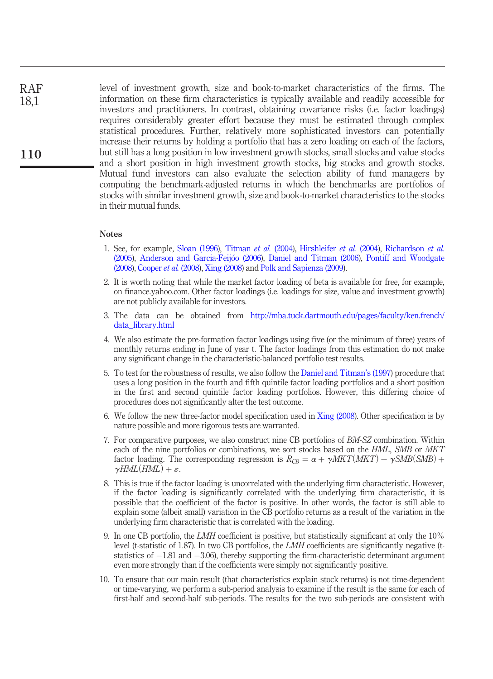level of investment growth, size and book-to-market characteristics of the firms. The information on these firm characteristics is typically available and readily accessible for investors and practitioners. In contrast, obtaining covariance risks (i.e. factor loadings) requires considerably greater effort because they must be estimated through complex statistical procedures. Further, relatively more sophisticated investors can potentially increase their returns by holding a portfolio that has a zero loading on each of the factors, but still has a long position in low investment growth stocks, small stocks and value stocks and a short position in high investment growth stocks, big stocks and growth stocks. Mutual fund investors can also evaluate the selection ability of fund managers by computing the benchmark-adjusted returns in which the benchmarks are portfolios of stocks with similar investment growth, size and book-to-market characteristics to the stocks in their mutual funds.

# Notes

RAF 18,1

- <span id="page-15-0"></span>1. See, for example, [Sloan \(1996](#page-17-4)), [Titman](#page-17-1) et al. (2004), [Hirshleifer](#page-16-15) et al. (2004), [Richardson](#page-17-5) et al. [\(2005](#page-17-5)), [Anderson and Garcia-Feij](#page-16-10)oo (2006), [Daniel and Titman \(2006\)](#page-16-16), Pontiff [and Woodgate](#page-16-17) [\(2008](#page-16-17)), [Cooper](#page-16-18) et al. (2008), [Xing \(2008](#page-17-2)) and [Polk and Sapienza \(2009\)](#page-16-19).
- <span id="page-15-1"></span>2. It is worth noting that while the market factor loading of beta is available for free, for example, on finance.yahoo.com. Other factor loadings (i.e. loadings for size, value and investment growth) are not publicly available for investors.
- <span id="page-15-2"></span>3. The data can be obtained from [http://mba.tuck.dartmouth.edu/pages/faculty/ken.french/](http://mba.tuck.dartmouth.edu/pages/faculty/ken.french/data_library.html) [data\\_library.html](http://mba.tuck.dartmouth.edu/pages/faculty/ken.french/data_library.html)
- <span id="page-15-3"></span>4. We also estimate the pre-formation factor loadings using five (or the minimum of three) years of monthly returns ending in June of year t. The factor loadings from this estimation do not make any significant change in the characteristic-balanced portfolio test results.
- <span id="page-15-4"></span>5. To test for the robustness of results, we also follow the [Daniel and Titman](#page-16-2)'s (1997) procedure that uses a long position in the fourth and fifth quintile factor loading portfolios and a short position in the first and second quintile factor loading portfolios. However, this differing choice of procedures does not significantly alter the test outcome.
- <span id="page-15-5"></span>6. We follow the new three-factor model specification used in [Xing \(2008\)](#page-17-2). Other specification is by nature possible and more rigorous tests are warranted.
- <span id="page-15-6"></span>7. For comparative purposes, we also construct nine CB portfolios of BM-SZ combination. Within each of the nine portfolios or combinations, we sort stocks based on the HML, SMB or MKT factor loading. The corresponding regression is  $R_{CB} = \alpha + \gamma MKT(MKT) + \gamma \text{SMB}(\text{SMB}) +$  $\gamma$ HML  $(HML) + \varepsilon$ .
- <span id="page-15-7"></span>8. This is true if the factor loading is uncorrelated with the underlying firm characteristic. However, if the factor loading is significantly correlated with the underlying firm characteristic, it is possible that the coefficient of the factor is positive. In other words, the factor is still able to explain some (albeit small) variation in the CB portfolio returns as a result of the variation in the underlying firm characteristic that is correlated with the loading.
- <span id="page-15-8"></span>9. In one CB portfolio, the LMH coefficient is positive, but statistically significant at only the 10% level (t-statistic of 1.87). In two CB portfolios, the LMH coefficients are significantly negative (tstatistics of  $-1.81$  and  $-3.06$ ), thereby supporting the firm-characteristic determinant argument even more strongly than if the coefficients were simply not significantly positive.
- <span id="page-15-9"></span>10. To ensure that our main result (that characteristics explain stock returns) is not time-dependent or time-varying, we perform a sub-period analysis to examine if the result is the same for each of first-half and second-half sub-periods. The results for the two sub-periods are consistent with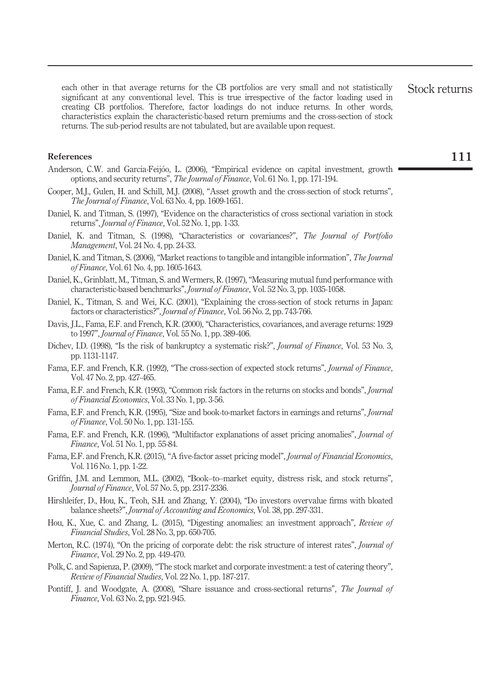each other in that average returns for the CB portfolios are very small and not statistically significant at any conventional level. This is true irrespective of the factor loading used in creating CB portfolios. Therefore, factor loadings do not induce returns. In other words, characteristics explain the characteristic-based return premiums and the cross-section of stock returns. The sub-period results are not tabulated, but are available upon request. Stock returns

## References

- <span id="page-16-10"></span>Anderson, C.W. and Garcia-Feijóo, L. (2006), "Empirical evidence on capital investment, growth options, and security returns", The Journal of Finance, Vol. 61 No. 1, pp. 171-194.
- <span id="page-16-18"></span>Cooper, M.J., Gulen, H. and Schill, M.J. (2008), "Asset growth and the cross-section of stock returns", The Journal of Finance, Vol. 63 No. 4, pp. 1609-1651.
- <span id="page-16-2"></span>Daniel, K. and Titman, S. (1997), "Evidence on the characteristics of cross sectional variation in stock returns", Journal of Finance, Vol. 52 No. 1, pp. 1-33.
- <span id="page-16-3"></span>Daniel, K. and Titman, S. (1998), "Characteristics or covariances?", The Journal of Portfolio Management, Vol. 24 No. 4, pp. 24-33.
- <span id="page-16-16"></span>Daniel, K. and Titman, S. (2006), "Market reactions to tangible and intangible information", The Journal of Finance, Vol. 61 No. 4, pp. 1605-1643.
- <span id="page-16-11"></span>Daniel, K., Grinblatt, M., Titman, S. and Wermers, R. (1997), "Measuring mutual fund performance with characteristic-based benchmarks", Journal of Finance, Vol. 52 No. 3, pp. 1035-1058.
- <span id="page-16-9"></span>Daniel, K., Titman, S. and Wei, K.C. (2001), "Explaining the cross-section of stock returns in Japan: factors or characteristics?", Journal of Finance, Vol. 56 No. 2, pp. 743-766.
- <span id="page-16-8"></span>Davis, J.L., Fama, E.F. and French, K.R. (2000), "Characteristics, covariances, and average returns: 1929 to 1997", Journal of Finance, Vol. 55 No. 1, pp. 389-406.
- <span id="page-16-5"></span>Dichev, I.D. (1998), "Is the risk of bankruptcy a systematic risk?", *Journal of Finance*, Vol. 53 No. 3, pp. 1131-1147.
- <span id="page-16-0"></span>Fama, E.F. and French, K.R. (1992), "The cross-section of expected stock returns", Journal of Finance, Vol. 47 No. 2, pp. 427-465.
- <span id="page-16-4"></span>Fama, E.F. and French, K.R. (1993), "Common risk factors in the returns on stocks and bonds", Journal of Financial Economics, Vol. 33 No. 1, pp. 3-56.
- <span id="page-16-1"></span>Fama, E.F. and French, K.R. (1995), "Size and book-to-market factors in earnings and returns", *Journal* of Finance, Vol. 50 No. 1, pp. 131-155.
- <span id="page-16-12"></span>Fama, E.F. and French, K.R. (1996), "Multifactor explanations of asset pricing anomalies", Journal of Finance, Vol. 51 No. 1, pp. 55-84.
- <span id="page-16-14"></span>Fama, E.F. and French, K.R. (2015), "A five-factor asset pricing model", Journal of Financial Economics, Vol. 116 No. 1, pp. 1-22.
- <span id="page-16-6"></span>Griffin, J.M. and Lemmon, M.L. (2002), "Book–to–market equity, distress risk, and stock returns", Journal of Finance, Vol. 57 No. 5, pp. 2317-2336.
- <span id="page-16-15"></span>Hirshleifer, D., Hou, K., Teoh, S.H. and Zhang, Y. (2004), "Do investors overvalue firms with bloated balance sheets?", Journal of Accounting and Economics, Vol. 38, pp. 297-331.
- <span id="page-16-13"></span>Hou, K., Xue, C. and Zhang, L. (2015), "Digesting anomalies: an investment approach", Review of Financial Studies, Vol. 28 No. 3, pp. 650-705.
- <span id="page-16-7"></span>Merton, R.C. (1974), "On the pricing of corporate debt: the risk structure of interest rates", *Journal of* Finance, Vol. 29 No. 2, pp. 449-470.
- <span id="page-16-19"></span>Polk, C. and Sapienza, P. (2009), "The stock market and corporate investment: a test of catering theory", Review of Financial Studies, Vol. 22 No. 1, pp. 187-217.
- <span id="page-16-17"></span>Pontiff, J. and Woodgate, A. (2008), "Share issuance and cross-sectional returns", The Journal of Finance, Vol. 63 No. 2, pp. 921-945.